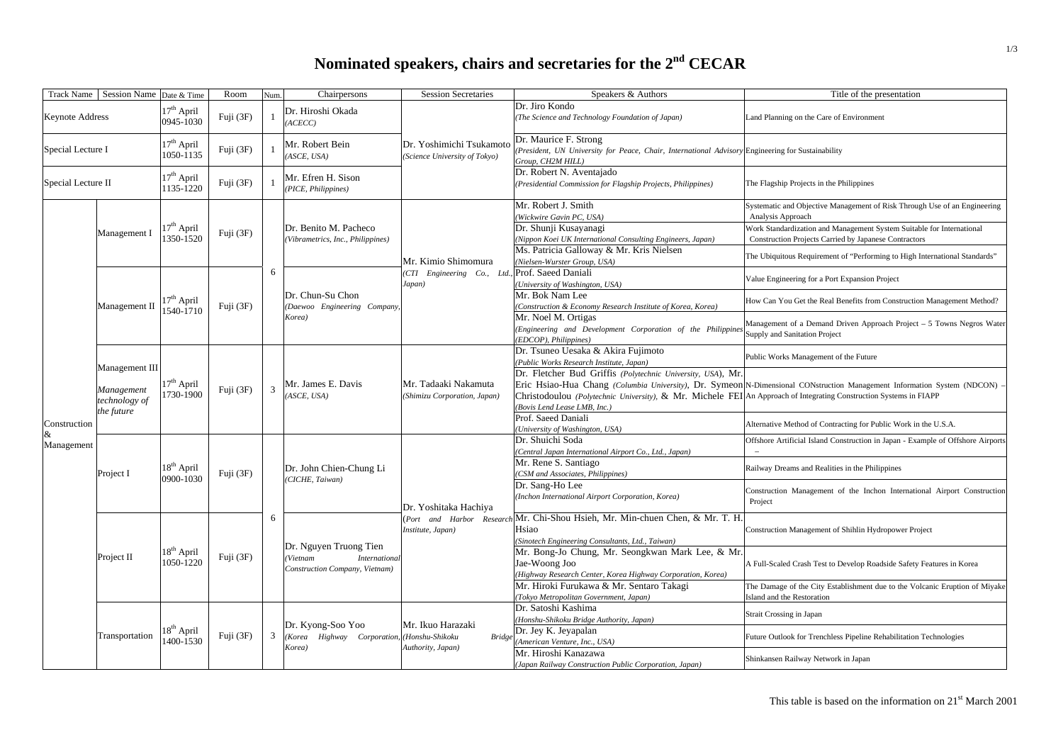## **Nominated speakers, chairs and secretaries for the 2nd CECAR**

| <b>Track Name</b>          | Session Name Date & Time                                    |                                     | Room      | Num. | Chairpersons                                                                          | <b>Session Secretaries</b>                                | Speakers & Authors                                                                                                                                                                                                | Title of the presentation                                                                                                      |
|----------------------------|-------------------------------------------------------------|-------------------------------------|-----------|------|---------------------------------------------------------------------------------------|-----------------------------------------------------------|-------------------------------------------------------------------------------------------------------------------------------------------------------------------------------------------------------------------|--------------------------------------------------------------------------------------------------------------------------------|
| <b>Keynote Address</b>     |                                                             | $17th$ April<br>0945-1030           | Fuji (3F) |      | Dr. Hiroshi Okada<br>(ACECC)                                                          |                                                           | Dr. Jiro Kondo<br>The Science and Technology Foundation of Japan)                                                                                                                                                 | Land Planning on the Care of Environment                                                                                       |
| Special Lecture I          |                                                             | $17th$ April<br>1050-1135           | Fuji (3F) |      | Mr. Robert Bein<br>(ASCE, USA)                                                        | Dr. Yoshimichi Tsukamoto<br>(Science University of Tokyo) | Dr. Maurice F. Strong<br>(President, UN University for Peace, Chair, International Advisory Engineering for Sustainability<br>Group, CH2M HILL)                                                                   |                                                                                                                                |
| Special Lecture II         |                                                             | 17 <sup>th</sup> April<br>1135-1220 | Fuji (3F) |      | Mr. Efren H. Sison<br>(PICE, Philippines)                                             |                                                           | Dr. Robert N. Aventajado<br>(Presidential Commission for Flagship Projects, Philippines)                                                                                                                          | The Flagship Projects in the Philippines                                                                                       |
| Construction<br>Management | Management I                                                | $17th$ April<br>1350-1520           | Fuji (3F) |      | Dr. Benito M. Pacheco<br>(Vibrametrics, Inc., Philippines)                            |                                                           | Mr. Robert J. Smith<br>(Wickwire Gavin PC, USA)                                                                                                                                                                   | Systematic and Objective Management of Risk Through Use of an Engineering<br>Analysis Approach                                 |
|                            |                                                             |                                     |           |      |                                                                                       |                                                           | Dr. Shunji Kusayanagi<br>Nippon Koei UK International Consulting Engineers, Japan)                                                                                                                                | Work Standardization and Management System Suitable for International<br>Construction Projects Carried by Japanese Contractors |
|                            |                                                             |                                     |           |      |                                                                                       | Mr. Kimio Shimomura<br>CTI Engineering Co., Ltd<br>Japan) | Ms. Patricia Galloway & Mr. Kris Nielsen<br>(Nielsen-Wurster Group, USA)                                                                                                                                          | The Ubiquitous Requirement of "Performing to High International Standards"                                                     |
|                            | Management II                                               |                                     |           | 6    |                                                                                       |                                                           |                                                                                                                                                                                                                   | Prof. Saeed Daniali<br>(University of Washington, USA)                                                                         |
|                            |                                                             | 17 <sup>th</sup> April<br>1540-1710 | Fuji (3F) |      | Dr. Chun-Su Chon<br>(Daewoo Engineering Company,<br>Korea)                            |                                                           | Mr. Bok Nam Lee<br>(Construction & Economy Research Institute of Korea, Korea)                                                                                                                                    | How Can You Get the Real Benefits from Construction Management Method?                                                         |
|                            |                                                             |                                     |           |      |                                                                                       |                                                           | Mr. Noel M. Ortigas<br>(Engineering and Development Corporation of the Philippines<br>(EDCOP), Philippines)                                                                                                       | Management of a Demand Driven Approach Project - 5 Towns Negros Water<br>Supply and Sanitation Project                         |
|                            | Management III<br>Management<br>technology of<br>the future |                                     |           |      | Mr. James E. Davis<br>(ASCE, USA)                                                     |                                                           | Dr. Tsuneo Uesaka & Akira Fujimoto<br>(Public Works Research Institute, Japan)                                                                                                                                    | Public Works Management of the Future                                                                                          |
|                            |                                                             | 17 <sup>th</sup> April<br>1730-1900 | Fuji (3F) | 3    |                                                                                       | Mr. Tadaaki Nakamuta<br>(Shimizu Corporation, Japan)      | Dr. Fletcher Bud Griffis (Polytechnic University, USA), Mr.<br>Christodoulou (Polytechnic University), & Mr. Michele FEI An Approach of Integrating Construction Systems in FIAPP<br>(Bovis Lend Lease LMB, Inc.) | Eric Hsiao-Hua Chang (Columbia University), Dr. Symeon N-Dimensional CONstruction Management Information System (NDCON) -      |
|                            |                                                             |                                     |           |      |                                                                                       |                                                           | Prof. Saeed Daniali<br>(University of Washington, USA)                                                                                                                                                            | Alternative Method of Contracting for Public Work in the U.S.A.                                                                |
|                            | Project I                                                   |                                     | Fuji (3F) |      | Dr. John Chien-Chung Li<br>(CICHE, Taiwan)                                            |                                                           | Dr. Shuichi Soda<br>(Central Japan International Airport Co., Ltd., Japan)                                                                                                                                        | Offshore Artificial Island Construction in Japan - Example of Offshore Airports                                                |
|                            |                                                             | $18th$ April<br>0900-1030           |           |      |                                                                                       |                                                           | Mr. Rene S. Santiago<br>(CSM and Associates, Philippines)                                                                                                                                                         | Railway Dreams and Realities in the Philippines                                                                                |
|                            |                                                             |                                     |           |      |                                                                                       | Dr. Yoshitaka Hachiya                                     | Dr. Sang-Ho Lee<br>(Inchon International Airport Corporation, Korea)                                                                                                                                              | Construction Management of the Inchon International Airport Construction<br>Project                                            |
|                            | Project II                                                  |                                     |           | 6    |                                                                                       | Institute, Japan)                                         | (Port and Harbor Research Mr. Chi-Shou Hsieh, Mr. Min-chuen Chen, & Mr. T. H.<br>Hsiao<br>(Sinotech Engineering Consultants, Ltd., Taiwan)                                                                        | Construction Management of Shihlin Hydropower Project                                                                          |
|                            |                                                             | $18th$ April<br>1050-1220           | Fuji (3F) |      | Dr. Nguyen Truong Tien<br>(Vietnam<br>International<br>Construction Company, Vietnam) |                                                           | Mr. Bong-Jo Chung, Mr. Seongkwan Mark Lee, & Mr.<br>Jae-Woong Joo<br>(Highway Research Center, Korea Highway Corporation, Korea)                                                                                  | A Full-Scaled Crash Test to Develop Roadside Safety Features in Korea                                                          |
|                            |                                                             |                                     |           |      |                                                                                       |                                                           | Mr. Hiroki Furukawa & Mr. Sentaro Takagi<br>(Tokyo Metropolitan Government, Japan)                                                                                                                                | The Damage of the City Establishment due to the Volcanic Eruption of Miyake<br>Island and the Restoration                      |
|                            | Transportation                                              |                                     |           |      | Dr. Kyong-Soo Yoo<br>Highway Corporation, (Honshu-Shikoku<br>(Korea<br>Korea)         | Mr. Ikuo Harazaki<br><b>Bridge</b><br>Authority, Japan)   | Dr. Satoshi Kashima<br>(Honshu-Shikoku Bridge Authority, Japan)                                                                                                                                                   | <b>Strait Crossing in Japan</b>                                                                                                |
|                            |                                                             | 18 <sup>th</sup> April<br>1400-1530 | Fuji (3F) | 3    |                                                                                       |                                                           | Dr. Jey K. Jeyapalan<br>(American Venture, Inc., USA)                                                                                                                                                             | Future Outlook for Trenchless Pipeline Rehabilitation Technologies                                                             |
|                            |                                                             |                                     |           |      |                                                                                       |                                                           | Mr. Hiroshi Kanazawa<br>(Japan Railway Construction Public Corporation, Japan)                                                                                                                                    | Shinkansen Railway Network in Japan                                                                                            |

This table is based on the information on 21<sup>st</sup> March 2001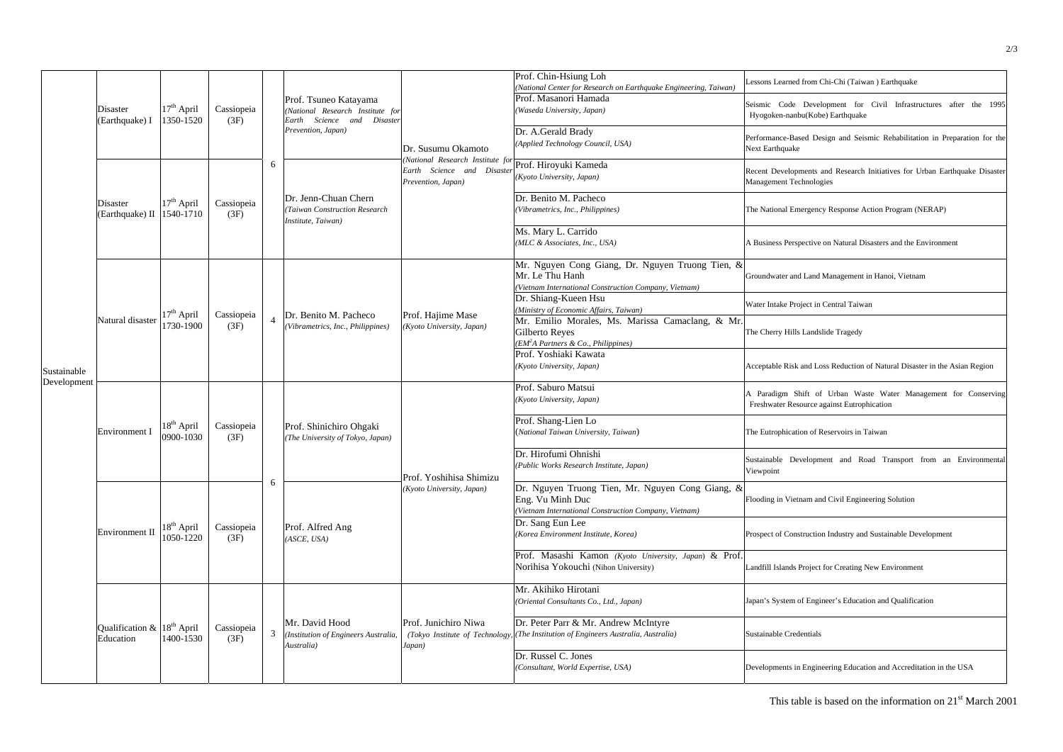| Sustainable<br>Development | <b>Disaster</b><br>(Earthquake) I                       | $17th$ April<br>1350-1520           | Cassiopeia<br>(3F) |                | Prof. Tsuneo Katayama<br>(National Research Institute for<br>Science and Disaster<br>Earth<br>Prevention, Japan) | Dr. Susumu Okamoto<br>(National Research Institute for Prof. Hiroyuki Kameda<br>Earth Science and Disaster<br>Prevention, Japan) | Prof. Chin-Hsiung Loh<br>(National Center for Research on Earthquake Engineering, Taiwan)<br>Prof. Masanori Hamada<br>(Waseda University, Japan)<br>Dr. A.Gerald Brady | Lessons Learned from Chi-Chi (Taiwan) Earthquake<br>Seismic Code Development for Civil Infrastructures after the 1995<br>Hyogoken-nanbu(Kobe) Earthquake |
|----------------------------|---------------------------------------------------------|-------------------------------------|--------------------|----------------|------------------------------------------------------------------------------------------------------------------|----------------------------------------------------------------------------------------------------------------------------------|------------------------------------------------------------------------------------------------------------------------------------------------------------------------|----------------------------------------------------------------------------------------------------------------------------------------------------------|
|                            |                                                         |                                     |                    | 6              |                                                                                                                  |                                                                                                                                  | (Applied Technology Council, USA)                                                                                                                                      | Performance-Based Design and Seismic Rehabilitation in Preparation for the<br>Next Earthquake                                                            |
|                            | <b>Disaster</b><br>(Earthquake) II                      | $17th$ April<br>1540-1710           | Cassiopeia<br>(3F) |                | Dr. Jenn-Chuan Chern<br>(Taiwan Construction Research<br>Institute, Taiwan)                                      |                                                                                                                                  | (Kyoto University, Japan)                                                                                                                                              | Recent Developments and Research Initiatives for Urban Earthquake Disaster<br>Management Technologies                                                    |
|                            |                                                         |                                     |                    |                |                                                                                                                  |                                                                                                                                  | Dr. Benito M. Pacheco<br>(Vibrametrics, Inc., Philippines)                                                                                                             | The National Emergency Response Action Program (NERAP)                                                                                                   |
|                            |                                                         |                                     |                    |                |                                                                                                                  |                                                                                                                                  | Ms. Mary L. Carrido<br>(MLC & Associates, Inc., USA)                                                                                                                   | A Business Perspective on Natural Disasters and the Environment                                                                                          |
|                            | Natural disaster                                        | $17th$ April<br>1730-1900           | Cassiopeia<br>(3F) |                | Dr. Benito M. Pacheco<br>(Vibrametrics, Inc., Philippines)                                                       | Prof. Hajime Mase<br>(Kyoto University, Japan)                                                                                   | Mr. Nguyen Cong Giang, Dr. Nguyen Truong Tien, &<br>Mr. Le Thu Hanh<br>(Vietnam International Construction Company, Vietnam)                                           | Groundwater and Land Management in Hanoi, Vietnam                                                                                                        |
|                            |                                                         |                                     |                    |                |                                                                                                                  |                                                                                                                                  | Dr. Shiang-Kueen Hsu<br>(Ministry of Economic Affairs, Taiwan)                                                                                                         | Water Intake Project in Central Taiwan                                                                                                                   |
|                            |                                                         |                                     |                    |                |                                                                                                                  |                                                                                                                                  | Mr. Emilio Morales, Ms. Marissa Camaclang, & Mr.<br><b>Gilberto Reyes</b><br>$(EM2A$ Partners & Co., Philippines)                                                      | The Cherry Hills Landslide Tragedy                                                                                                                       |
|                            |                                                         |                                     |                    |                |                                                                                                                  |                                                                                                                                  | Prof. Yoshiaki Kawata<br>(Kyoto University, Japan)                                                                                                                     | Acceptable Risk and Loss Reduction of Natural Disaster in the Asian Region                                                                               |
|                            | Environment I                                           |                                     |                    |                | Prof. Shinichiro Ohgaki<br>(The University of Tokyo, Japan)                                                      | Prof. Yoshihisa Shimizu<br>(Kyoto University, Japan)                                                                             | Prof. Saburo Matsui<br>(Kyoto University, Japan)                                                                                                                       | A Paradigm Shift of Urban Waste Water Management for Conserving<br>Freshwater Resource against Eutrophication                                            |
|                            |                                                         | $18^{\text{th}}$ April<br>0900-1030 | Cassiopeia<br>(3F) | 6              |                                                                                                                  |                                                                                                                                  | Prof. Shang-Lien Lo<br>(National Taiwan University, Taiwan)                                                                                                            | The Eutrophication of Reservoirs in Taiwan                                                                                                               |
|                            |                                                         |                                     |                    |                |                                                                                                                  |                                                                                                                                  | Dr. Hirofumi Ohnishi<br>(Public Works Research Institute, Japan)                                                                                                       | Sustainable Development and Road Transport from an Environmental<br>Viewpoint                                                                            |
|                            | Environment II                                          |                                     |                    |                | Prof. Alfred Ang<br>(ASCE, USA)                                                                                  |                                                                                                                                  | Dr. Nguyen Truong Tien, Mr. Nguyen Cong Giang, &<br>Eng. Vu Minh Duc<br>(Vietnam International Construction Company, Vietnam)                                          | Flooding in Vietnam and Civil Engineering Solution                                                                                                       |
|                            |                                                         | $18^{\text{th}}$ April<br>1050-1220 | Cassiopeia<br>(3F) |                |                                                                                                                  |                                                                                                                                  | Dr. Sang Eun Lee<br>(Korea Environment Institute, Korea)                                                                                                               | Prospect of Construction Industry and Sustainable Development                                                                                            |
|                            |                                                         |                                     |                    |                |                                                                                                                  |                                                                                                                                  | Prof. Masashi Kamon (Kyoto University, Japan) & Prof.<br>Norihisa Yokouchi (Nihon University)                                                                          | Landfill Islands Project for Creating New Environment                                                                                                    |
|                            | Qualification $\&$  18 <sup>th</sup> April<br>Education |                                     |                    | $\mathfrak{Z}$ | Mr. David Hood<br>(Institution of Engineers Australia,<br>Australia)                                             | Prof. Junichiro Niwa<br>Japan)                                                                                                   | Mr. Akihiko Hirotani<br>(Oriental Consultants Co., Ltd., Japan)                                                                                                        | Japan's System of Engineer's Education and Qualification                                                                                                 |
|                            |                                                         | 1400-1530                           | Cassiopeia<br>(3F) |                |                                                                                                                  |                                                                                                                                  | Dr. Peter Parr & Mr. Andrew McIntyre<br>(Tokyo Institute of Technology, (The Institution of Engineers Australia, Australia)                                            | Sustainable Credentials                                                                                                                                  |
|                            |                                                         |                                     |                    |                |                                                                                                                  |                                                                                                                                  | Dr. Russel C. Jones<br>(Consultant, World Expertise, USA)                                                                                                              | Developments in Engineering Education and Accreditation in the USA                                                                                       |

| Lessons Learned from Chi-Chi (Taiwan) Earthquake                                                              |  |  |  |  |  |  |  |
|---------------------------------------------------------------------------------------------------------------|--|--|--|--|--|--|--|
| Seismic Code Development for Civil Infrastructures after the 1995<br>Hyogoken-nanbu(Kobe) Earthquake          |  |  |  |  |  |  |  |
| Performance-Based Design and Seismic Rehabilitation in Preparation for the<br>Next Earthquake                 |  |  |  |  |  |  |  |
| Recent Developments and Research Initiatives for Urban Earthquake Disaster<br>Management Technologies         |  |  |  |  |  |  |  |
| The National Emergency Response Action Program (NERAP)                                                        |  |  |  |  |  |  |  |
| A Business Perspective on Natural Disasters and the Environment                                               |  |  |  |  |  |  |  |
| Groundwater and Land Management in Hanoi, Vietnam                                                             |  |  |  |  |  |  |  |
| Water Intake Project in Central Taiwan                                                                        |  |  |  |  |  |  |  |
| The Cherry Hills Landslide Tragedy                                                                            |  |  |  |  |  |  |  |
| Acceptable Risk and Loss Reduction of Natural Disaster in the Asian Region                                    |  |  |  |  |  |  |  |
| A Paradigm Shift of Urban Waste Water Management for Conserving<br>Freshwater Resource against Eutrophication |  |  |  |  |  |  |  |
| The Eutrophication of Reservoirs in Taiwan                                                                    |  |  |  |  |  |  |  |
| Sustainable Development and Road Transport from an Environmental<br>Viewpoint                                 |  |  |  |  |  |  |  |
| Flooding in Vietnam and Civil Engineering Solution                                                            |  |  |  |  |  |  |  |
| Prospect of Construction Industry and Sustainable Development                                                 |  |  |  |  |  |  |  |
| Landfill Islands Project for Creating New Environment                                                         |  |  |  |  |  |  |  |
| Japan's System of Engineer's Education and Qualification                                                      |  |  |  |  |  |  |  |
| <b>Sustainable Credentials</b>                                                                                |  |  |  |  |  |  |  |
| Developments in Engineering Education and Accreditation in the USA                                            |  |  |  |  |  |  |  |

This table is based on the information on 21<sup>st</sup> March 2001